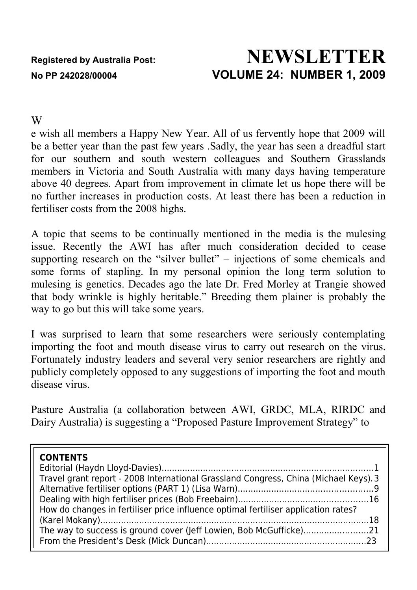# **Registered by Australia Post: NEWSLETTER No PP 242028/00004 VOLUME 24: NUMBER 1, 2009**

#### W

e wish all members a Happy New Year. All of us fervently hope that 2009 will be a better year than the past few years .Sadly, the year has seen a dreadful start for our southern and south western colleagues and Southern Grasslands members in Victoria and South Australia with many days having temperature above 40 degrees. Apart from improvement in climate let us hope there will be no further increases in production costs. At least there has been a reduction in fertiliser costs from the 2008 highs.

A topic that seems to be continually mentioned in the media is the mulesing issue. Recently the AWI has after much consideration decided to cease supporting research on the "silver bullet" – injections of some chemicals and some forms of stapling. In my personal opinion the long term solution to mulesing is genetics. Decades ago the late Dr. Fred Morley at Trangie showed that body wrinkle is highly heritable." Breeding them plainer is probably the way to go but this will take some years.

I was surprised to learn that some researchers were seriously contemplating importing the foot and mouth disease virus to carry out research on the virus. Fortunately industry leaders and several very senior researchers are rightly and publicly completely opposed to any suggestions of importing the foot and mouth disease virus.

Pasture Australia (a collaboration between AWI, GRDC, MLA, RIRDC and Dairy Australia) is suggesting a "Proposed Pasture Improvement Strategy" to

| <b>CONTENTS</b><br>Travel grant report - 2008 International Grassland Congress, China (Michael Keys). 3 |
|---------------------------------------------------------------------------------------------------------|
| How do changes in fertiliser price influence optimal fertiliser application rates?                      |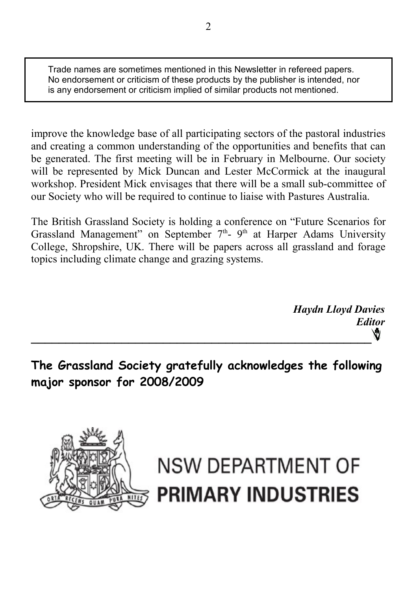Trade names are sometimes mentioned in this Newsletter in refereed papers. No endorsement or criticism of these products by the publisher is intended, nor is any endorsement or criticism implied of similar products not mentioned.

improve the knowledge base of all participating sectors of the pastoral industries and creating a common understanding of the opportunities and benefits that can be generated. The first meeting will be in February in Melbourne. Our society will be represented by Mick Duncan and Lester McCormick at the inaugural workshop. President Mick envisages that there will be a small sub-committee of our Society who will be required to continue to liaise with Pastures Australia.

The British Grassland Society is holding a conference on "Future Scenarios for Grassland Management" on September  $7<sup>th</sup>$ - 9<sup>th</sup> at Harper Adams University College, Shropshire, UK. There will be papers across all grassland and forage topics including climate change and grazing systems.

> *Haydn Lloyd Davies Editor* Ŵ

**The Grassland Society gratefully acknowledges the following major sponsor for 2008/2009**



# **NSW DEPARTMENT OF PRIMARY INDUSTRIES**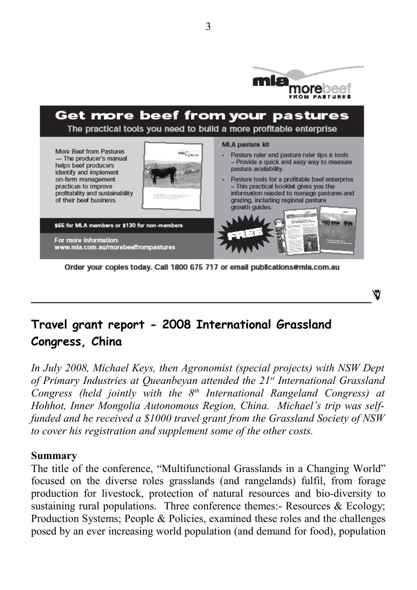

ŃЙ



For more information:<br>www.mla.com.au/morebeeffrompastures

Order your copies today. Call 1800 675 717 or email publications@mla.com.au

**\_\_\_\_\_\_\_\_\_\_\_\_\_\_\_\_\_\_\_\_\_\_\_\_\_\_\_\_\_\_\_\_\_\_\_\_\_\_\_\_\_\_\_\_\_\_\_\_\_**

# **Travel grant report - 2008 International Grassland Congress, China**

*In July 2008, Michael Keys, then Agronomist (special projects) with NSW Dept of Primary Industries at Queanbeyan attended the 21st International Grassland Congress (held jointly with the 8th International Rangeland Congress) at Hohhot, Inner Mongolia Autonomous Region, China. Michael's trip was selffunded and he received a \$1000 travel grant from the Grassland Society of NSW to cover his registration and supplement some of the other costs.*

#### **Summary**

The title of the conference, "Multifunctional Grasslands in a Changing World" focused on the diverse roles grasslands (and rangelands) fulfil, from forage production for livestock, protection of natural resources and bio-diversity to sustaining rural populations. Three conference themes:- Resources  $\&$  Ecology; Production Systems; People & Policies, examined these roles and the challenges posed by an ever increasing world population (and demand for food), population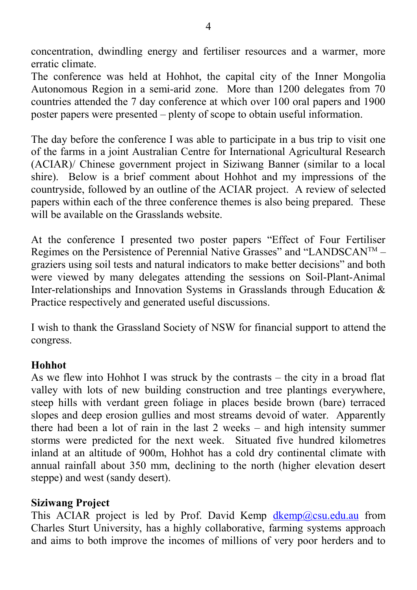concentration, dwindling energy and fertiliser resources and a warmer, more erratic climate.

The conference was held at Hohhot, the capital city of the Inner Mongolia Autonomous Region in a semi-arid zone. More than 1200 delegates from 70 countries attended the 7 day conference at which over 100 oral papers and 1900 poster papers were presented – plenty of scope to obtain useful information.

The day before the conference I was able to participate in a bus trip to visit one of the farms in a joint Australian Centre for International Agricultural Research (ACIAR)/ Chinese government project in Siziwang Banner (similar to a local shire). Below is a brief comment about Hohhot and my impressions of the countryside, followed by an outline of the ACIAR project. A review of selected papers within each of the three conference themes is also being prepared. These will be available on the Grasslands website.

At the conference I presented two poster papers "Effect of Four Fertiliser Regimes on the Persistence of Perennial Native Grasses" and "LANDSCANTM – graziers using soil tests and natural indicators to make better decisions" and both were viewed by many delegates attending the sessions on Soil-Plant-Animal Inter-relationships and Innovation Systems in Grasslands through Education & Practice respectively and generated useful discussions.

I wish to thank the Grassland Society of NSW for financial support to attend the congress.

#### **Hohhot**

As we flew into Hohhot I was struck by the contrasts – the city in a broad flat valley with lots of new building construction and tree plantings everywhere, steep hills with verdant green foliage in places beside brown (bare) terraced slopes and deep erosion gullies and most streams devoid of water. Apparently there had been a lot of rain in the last 2 weeks – and high intensity summer storms were predicted for the next week. Situated five hundred kilometres inland at an altitude of 900m, Hohhot has a cold dry continental climate with annual rainfall about 350 mm, declining to the north (higher elevation desert steppe) and west (sandy desert).

#### **Siziwang Project**

This ACIAR project is led by Prof. David Kemp  $\frac{dkemp(Q)csu.edu.au}{dkemp(Q)csu.edu.au}$  from Charles Sturt University, has a highly collaborative, farming systems approach and aims to both improve the incomes of millions of very poor herders and to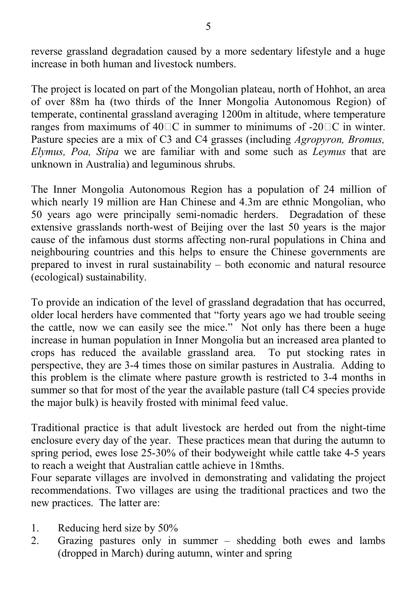reverse grassland degradation caused by a more sedentary lifestyle and a huge increase in both human and livestock numbers.

The project is located on part of the Mongolian plateau, north of Hohhot, an area of over 88m ha (two thirds of the Inner Mongolia Autonomous Region) of temperate, continental grassland averaging 1200m in altitude, where temperature ranges from maximums of  $40\degree\text{C}$  in summer to minimums of  $-20\degree\text{C}$  in winter. Pasture species are a mix of C3 and C4 grasses (including *Agropyron, Bromus, Elymus, Poa, Stipa* we are familiar with and some such as *Leymus* that are unknown in Australia) and leguminous shrubs.

The Inner Mongolia Autonomous Region has a population of 24 million of which nearly 19 million are Han Chinese and 4.3m are ethnic Mongolian, who 50 years ago were principally semi-nomadic herders. Degradation of these extensive grasslands north-west of Beijing over the last 50 years is the major cause of the infamous dust storms affecting non-rural populations in China and neighbouring countries and this helps to ensure the Chinese governments are prepared to invest in rural sustainability – both economic and natural resource (ecological) sustainability.

To provide an indication of the level of grassland degradation that has occurred, older local herders have commented that "forty years ago we had trouble seeing the cattle, now we can easily see the mice." Not only has there been a huge increase in human population in Inner Mongolia but an increased area planted to crops has reduced the available grassland area. To put stocking rates in perspective, they are 3-4 times those on similar pastures in Australia. Adding to this problem is the climate where pasture growth is restricted to 3-4 months in summer so that for most of the year the available pasture (tall C4 species provide the major bulk) is heavily frosted with minimal feed value.

Traditional practice is that adult livestock are herded out from the night-time enclosure every day of the year. These practices mean that during the autumn to spring period, ewes lose 25-30% of their bodyweight while cattle take 4-5 years to reach a weight that Australian cattle achieve in 18mths.

Four separate villages are involved in demonstrating and validating the project recommendations. Two villages are using the traditional practices and two the new practices. The latter are:

- 1. Reducing herd size by 50%
- 2. Grazing pastures only in summer shedding both ewes and lambs (dropped in March) during autumn, winter and spring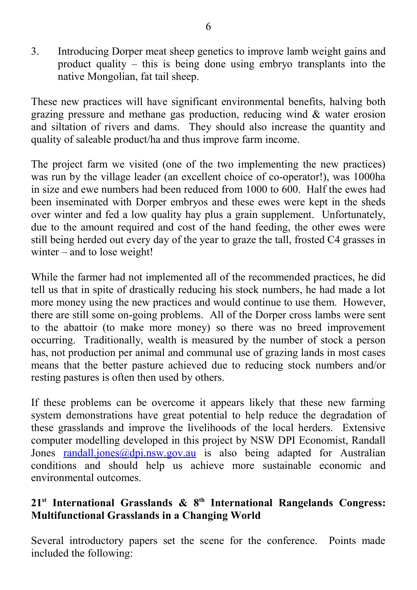3. Introducing Dorper meat sheep genetics to improve lamb weight gains and product quality – this is being done using embryo transplants into the native Mongolian, fat tail sheep.

These new practices will have significant environmental benefits, halving both grazing pressure and methane gas production, reducing wind  $\&$  water erosion and siltation of rivers and dams. They should also increase the quantity and quality of saleable product/ha and thus improve farm income.

The project farm we visited (one of the two implementing the new practices) was run by the village leader (an excellent choice of co-operator!), was 1000ha in size and ewe numbers had been reduced from 1000 to 600. Half the ewes had been inseminated with Dorper embryos and these ewes were kept in the sheds over winter and fed a low quality hay plus a grain supplement. Unfortunately, due to the amount required and cost of the hand feeding, the other ewes were still being herded out every day of the year to graze the tall, frosted C4 grasses in winter – and to lose weight!

While the farmer had not implemented all of the recommended practices, he did tell us that in spite of drastically reducing his stock numbers, he had made a lot more money using the new practices and would continue to use them. However, there are still some on-going problems. All of the Dorper cross lambs were sent to the abattoir (to make more money) so there was no breed improvement occurring. Traditionally, wealth is measured by the number of stock a person has, not production per animal and communal use of grazing lands in most cases means that the better pasture achieved due to reducing stock numbers and/or resting pastures is often then used by others.

If these problems can be overcome it appears likely that these new farming system demonstrations have great potential to help reduce the degradation of these grasslands and improve the livelihoods of the local herders. Extensive computer modelling developed in this project by NSW DPI Economist, Randall Jones [randall.jones@dpi.nsw.gov.au](mailto:randall.jones@dpi.nsw.gov.au) is also being adapted for Australian conditions and should help us achieve more sustainable economic and environmental outcomes.

#### **21st International Grasslands & 8th International Rangelands Congress: Multifunctional Grasslands in a Changing World**

Several introductory papers set the scene for the conference. Points made included the following: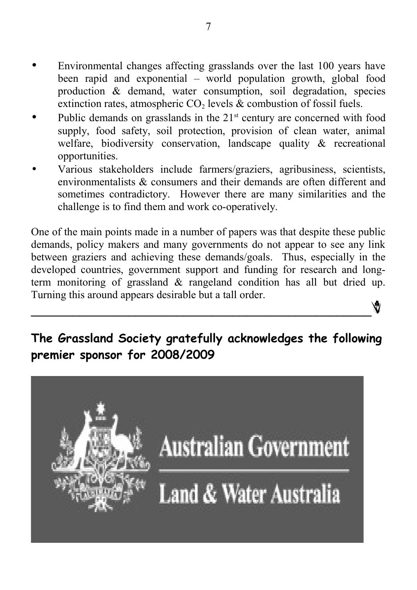- Environmental changes affecting grasslands over the last 100 years have been rapid and exponential – world population growth, global food production & demand, water consumption, soil degradation, species extinction rates, atmospheric  $CO<sub>2</sub>$  levels  $&$  combustion of fossil fuels.
- Public demands on grasslands in the  $21<sup>st</sup>$  century are concerned with food supply, food safety, soil protection, provision of clean water, animal welfare, biodiversity conservation, landscape quality & recreational opportunities.
- Various stakeholders include farmers/graziers, agribusiness, scientists, environmentalists & consumers and their demands are often different and sometimes contradictory. However there are many similarities and the challenge is to find them and work co-operatively.

One of the main points made in a number of papers was that despite these public demands, policy makers and many governments do not appear to see any link between graziers and achieving these demands/goals. Thus, especially in the developed countries, government support and funding for research and longterm monitoring of grassland & rangeland condition has all but dried up. Turning this around appears desirable but a tall order.

# **The Grassland Society gratefully acknowledges the following premier sponsor for 2008/2009**

**\_\_\_\_\_\_\_\_\_\_\_\_\_\_\_\_\_\_\_\_\_\_\_\_\_\_\_\_\_\_\_\_\_\_\_\_\_\_\_\_\_\_\_\_\_\_\_\_\_**

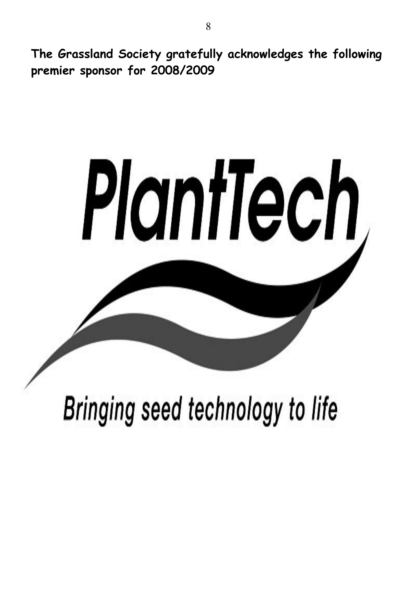**The Grassland Society gratefully acknowledges the following premier sponsor for 2008/2009**



Bringing seed technology to life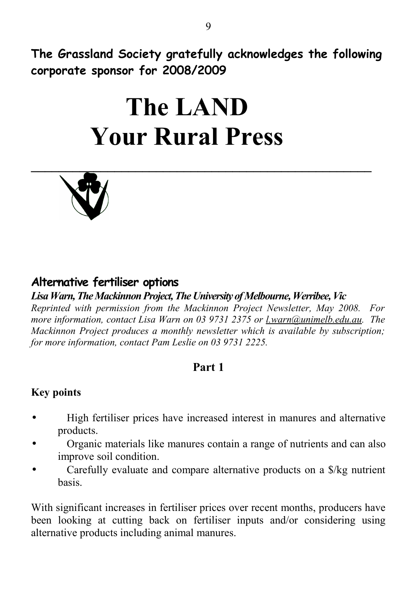**The Grassland Society gratefully acknowledges the following corporate sponsor for 2008/2009**

# **The LAND Your Rural Press**



# **Alternative fertiliser options**

#### *Lisa Warn, The Mackinnon Project, The University of Melbourne, Werribee, Vic*

*Reprinted with permission from the Mackinnon Project Newsletter, May 2008. For more information, contact Lisa Warn on 03 9731 2375 or [l.warn@unimelb.edu.au.](mailto:l.warn@unimelb.edu.au) The Mackinnon Project produces a monthly newsletter which is available by subscription; for more information, contact Pam Leslie on 03 9731 2225.*

#### **Part 1**

#### **Key points**

- High fertiliser prices have increased interest in manures and alternative products.
- Organic materials like manures contain a range of nutrients and can also improve soil condition.
- Carefully evaluate and compare alternative products on a \$/kg nutrient basis.

With significant increases in fertiliser prices over recent months, producers have been looking at cutting back on fertiliser inputs and/or considering using alternative products including animal manures.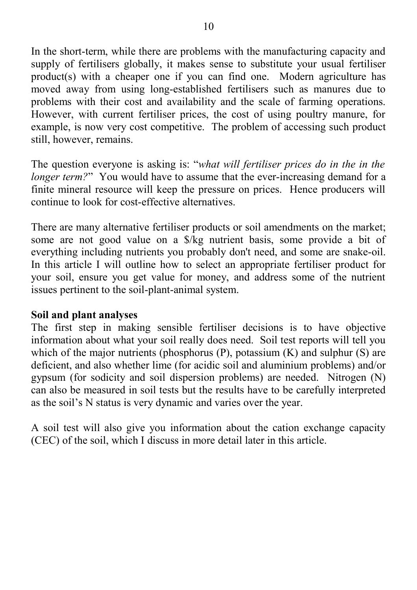In the short-term, while there are problems with the manufacturing capacity and supply of fertilisers globally, it makes sense to substitute your usual fertiliser product(s) with a cheaper one if you can find one. Modern agriculture has moved away from using long-established fertilisers such as manures due to problems with their cost and availability and the scale of farming operations. However, with current fertiliser prices, the cost of using poultry manure, for example, is now very cost competitive. The problem of accessing such product still, however, remains.

The question everyone is asking is: "*what will fertiliser prices do in the in the longer term?*" You would have to assume that the ever-increasing demand for a finite mineral resource will keep the pressure on prices. Hence producers will continue to look for cost-effective alternatives.

There are many alternative fertiliser products or soil amendments on the market; some are not good value on a \$/kg nutrient basis, some provide a bit of everything including nutrients you probably don't need, and some are snake-oil. In this article I will outline how to select an appropriate fertiliser product for your soil, ensure you get value for money, and address some of the nutrient issues pertinent to the soil-plant-animal system.

#### **Soil and plant analyses**

The first step in making sensible fertiliser decisions is to have objective information about what your soil really does need. Soil test reports will tell you which of the major nutrients (phosphorus  $(P)$ , potassium  $(K)$ ) and sulphur  $(S)$ ) are deficient, and also whether lime (for acidic soil and aluminium problems) and/or gypsum (for sodicity and soil dispersion problems) are needed. Nitrogen (N) can also be measured in soil tests but the results have to be carefully interpreted as the soil's N status is very dynamic and varies over the year.

A soil test will also give you information about the cation exchange capacity (CEC) of the soil, which I discuss in more detail later in this article.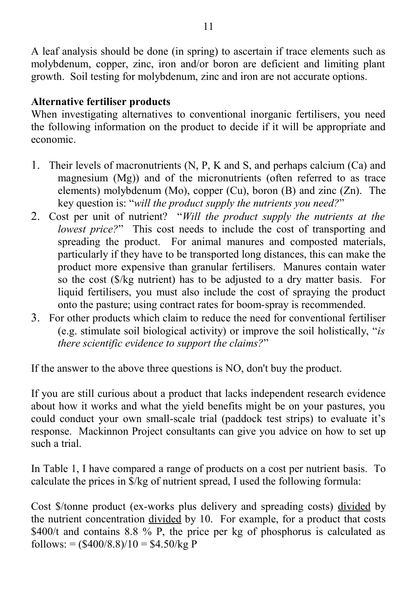A leaf analysis should be done (in spring) to ascertain if trace elements such as molybdenum, copper, zinc, iron and/or boron are deficient and limiting plant growth. Soil testing for molybdenum, zinc and iron are not accurate options.

#### **Alternative fertiliser products**

When investigating alternatives to conventional inorganic fertilisers, you need the following information on the product to decide if it will be appropriate and economic.

- 1. Their levels of macronutrients (N, P, K and S, and perhaps calcium (Ca) and magnesium (Mg)) and of the micronutrients (often referred to as trace elements) molybdenum (Mo), copper (Cu), boron (B) and zinc (Zn). The key question is: "*will the product supply the nutrients you need?*"
- 2. Cost per unit of nutrient? "*Will the product supply the nutrients at the lowest price?*" This cost needs to include the cost of transporting and spreading the product. For animal manures and composted materials, particularly if they have to be transported long distances, this can make the product more expensive than granular fertilisers. Manures contain water so the cost (\$/kg nutrient) has to be adjusted to a dry matter basis. For liquid fertilisers, you must also include the cost of spraying the product onto the pasture; using contract rates for boom-spray is recommended.
- 3. For other products which claim to reduce the need for conventional fertiliser (e.g. stimulate soil biological activity) or improve the soil holistically, "*is there scientific evidence to support the claims?*"

If the answer to the above three questions is NO, don't buy the product.

If you are still curious about a product that lacks independent research evidence about how it works and what the yield benefits might be on your pastures, you could conduct your own small-scale trial (paddock test strips) to evaluate it's response. Mackinnon Project consultants can give you advice on how to set up such a trial.

In Table 1, I have compared a range of products on a cost per nutrient basis. To calculate the prices in \$/kg of nutrient spread, I used the following formula:

Cost \$/tonne product (ex-works plus delivery and spreading costs) divided by the nutrient concentration divided by 10. For example, for a product that costs \$400/t and contains 8.8 % P, the price per kg of phosphorus is calculated as follows:  $=$   $(\frac{$400}{8.8})/10 = $4.50/kg$  P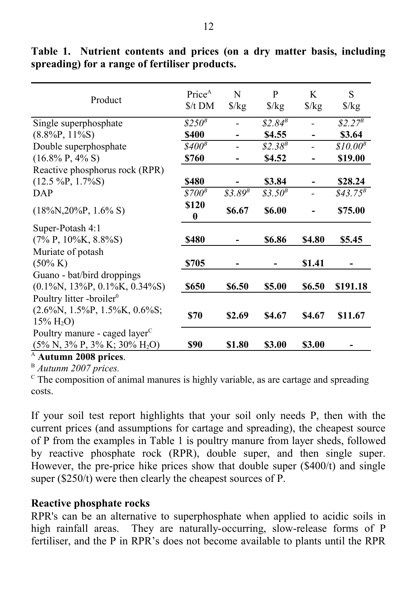| Product                                                                        | Price <sup>A</sup><br>$$/t$ DM | N<br>$\frac{\sqrt{2}}{2}$ | P<br>$\frac{\sqrt{2}}{2}$ | K<br>$\frac{\sqrt{2}}{2}$ | S<br>$\frac{\sqrt{2}}{2}$ |
|--------------------------------------------------------------------------------|--------------------------------|---------------------------|---------------------------|---------------------------|---------------------------|
| Single superphosphate                                                          | $$250^B$                       |                           | $$2.84$ <sup>B</sup>      |                           | $$2.27^B$                 |
| $(8.8\%P, 11\%S)$                                                              | \$400                          |                           | \$4.55                    |                           | \$3.64                    |
| Double superphosphate                                                          | $$400^B$$                      |                           | $$2.38^{B}$               |                           | $$10.00^B$$               |
| $(16.8\% \text{ P}, 4\% \text{ S})$                                            | \$760                          |                           | \$4.52                    |                           | \$19.00                   |
| Reactive phosphorus rock (RPR)                                                 |                                |                           |                           |                           |                           |
| $(12.5 \,\text{%P}, 1.7\%\text{S})$                                            | \$480                          |                           | \$3.84                    |                           | \$28.24                   |
| DAP                                                                            | \$700 <sup>B</sup>             | $$3.89$^{B}$              | $$3.50^{B}$               |                           | $$43.75^B$                |
| $(18\%N, 20\%P, 1.6\%S)$                                                       | \$120<br>0                     | \$6.67                    | \$6.00                    |                           | \$75.00                   |
| Super-Potash 4:1                                                               |                                |                           |                           |                           |                           |
| $(7\% \text{ P}, 10\% \text{ K}, 8.8\% \text{ S})$                             | \$480                          |                           | \$6.86                    | <b>\$4.80</b>             | \$5.45                    |
| Muriate of potash                                                              |                                |                           |                           |                           |                           |
| $(50\% \text{ K})$                                                             | \$705                          |                           |                           | \$1.41                    |                           |
| Guano - bat/bird droppings<br>$(0.1\%N, 13\%P, 0.1\%K, 0.34\%S)$               | \$650                          | \$6.50                    | \$5.00                    | \$6.50                    | \$191.18                  |
| Poultry litter -broiler <sup>0</sup>                                           |                                |                           |                           |                           |                           |
| $(2.6\%N, 1.5\%P, 1.5\%K, 0.6\%S;$<br>$15\% \text{ H}_2\text{O}$               | \$70                           | \$2.69                    | \$4.67                    | \$4.67                    | \$11.67                   |
| Poultry manure - caged layer <sup>C</sup><br>$(5\% N, 3\% P, 3\% K; 30\% H2O)$ | \$90                           | \$1.80                    | \$3.00                    | \$3.00                    |                           |
| A<br><b>Autumn 2008 prices.</b>                                                |                                |                           |                           |                           |                           |

**Table 1. Nutrient contents and prices (on a dry matter basis, including spreading) for a range of fertiliser products.**

<sup>B</sup> *Autunm 2007 prices.*

 $\rm{c}$ . The composition of animal manures is highly variable, as are cartage and spreading costs.

If your soil test report highlights that your soil only needs P, then with the current prices (and assumptions for cartage and spreading), the cheapest source of P from the examples in Table 1 is poultry manure from layer sheds, followed by reactive phosphate rock (RPR), double super, and then single super. However, the pre-price hike prices show that double super (\$400/t) and single super (\$250/t) were then clearly the cheapest sources of P.

#### **Reactive phosphate rocks**

RPR's can be an alternative to superphosphate when applied to acidic soils in high rainfall areas. They are naturally-occurring, slow-release forms of P fertiliser, and the P in RPR's does not become available to plants until the RPR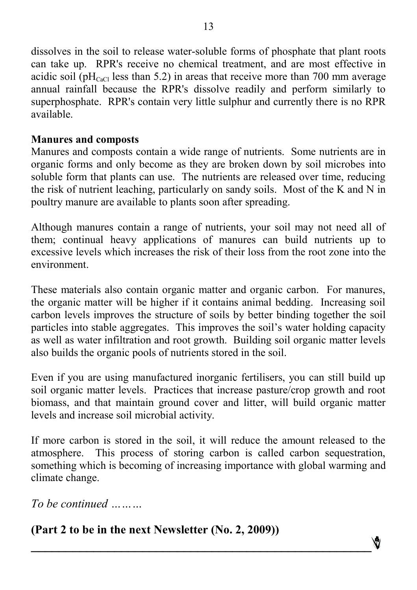dissolves in the soil to release water-soluble forms of phosphate that plant roots can take up. RPR's receive no chemical treatment, and are most effective in acidic soil (pH<sub>CaCl</sub> less than 5.2) in areas that receive more than 700 mm average annual rainfall because the RPR's dissolve readily and perform similarly to superphosphate. RPR's contain very little sulphur and currently there is no RPR available.

#### **Manures and composts**

Manures and composts contain a wide range of nutrients. Some nutrients are in organic forms and only become as they are broken down by soil microbes into soluble form that plants can use. The nutrients are released over time, reducing the risk of nutrient leaching, particularly on sandy soils. Most of the K and N in poultry manure are available to plants soon after spreading.

Although manures contain a range of nutrients, your soil may not need all of them; continual heavy applications of manures can build nutrients up to excessive levels which increases the risk of their loss from the root zone into the environment.

These materials also contain organic matter and organic carbon. For manures, the organic matter will be higher if it contains animal bedding. Increasing soil carbon levels improves the structure of soils by better binding together the soil particles into stable aggregates. This improves the soil's water holding capacity as well as water infiltration and root growth. Building soil organic matter levels also builds the organic pools of nutrients stored in the soil.

Even if you are using manufactured inorganic fertilisers, you can still build up soil organic matter levels. Practices that increase pasture/crop growth and root biomass, and that maintain ground cover and litter, will build organic matter levels and increase soil microbial activity.

If more carbon is stored in the soil, it will reduce the amount released to the atmosphere. This process of storing carbon is called carbon sequestration, something which is becoming of increasing importance with global warming and climate change.

**\_\_\_\_\_\_\_\_\_\_\_\_\_\_\_\_\_\_\_\_\_\_\_\_\_\_\_\_\_\_\_\_\_\_\_\_\_\_\_\_\_\_\_\_\_\_\_\_\_**

*To be continued ………*

# **(Part 2 to be in the next Newsletter (No. 2, 2009))**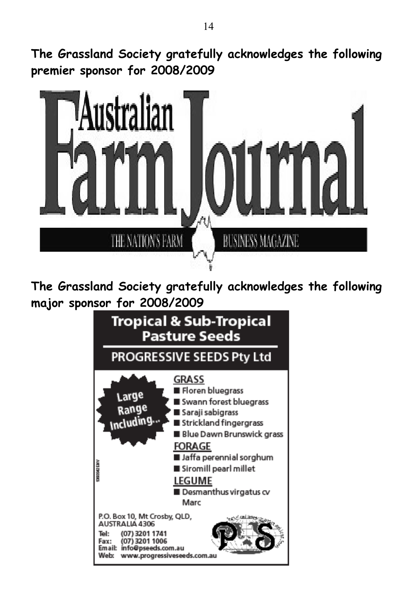**The Grassland Society gratefully acknowledges the following premier sponsor for 2008/2009**



**The Grassland Society gratefully acknowledges the following major sponsor for 2008/2009**

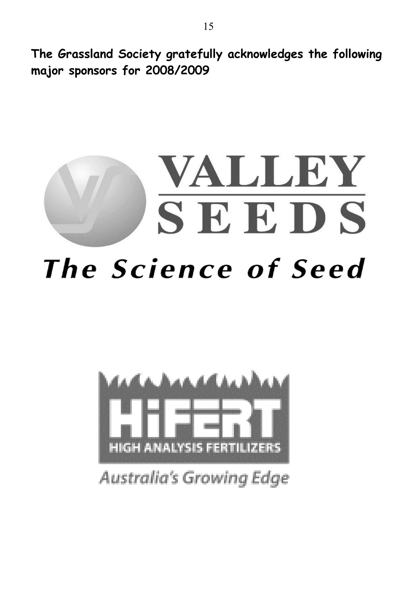**The Grassland Society gratefully acknowledges the following major sponsors for 2008/2009**





Australia's Growing Edge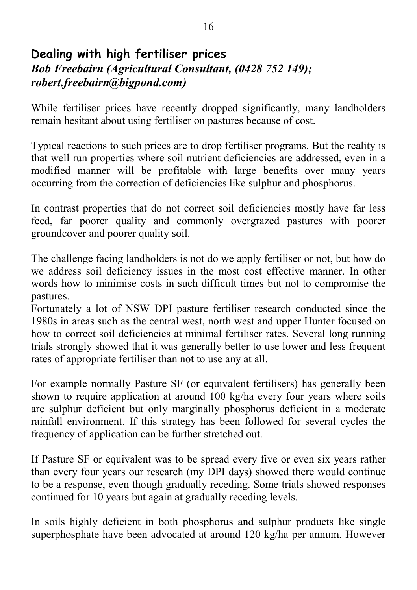## **Dealing with high fertiliser prices** *Bob Freebairn (Agricultural Consultant, (0428 752 149); robert.freebairn@bigpond.com)*

While fertiliser prices have recently dropped significantly, many landholders remain hesitant about using fertiliser on pastures because of cost.

Typical reactions to such prices are to drop fertiliser programs. But the reality is that well run properties where soil nutrient deficiencies are addressed, even in a modified manner will be profitable with large benefits over many years occurring from the correction of deficiencies like sulphur and phosphorus.

In contrast properties that do not correct soil deficiencies mostly have far less feed, far poorer quality and commonly overgrazed pastures with poorer groundcover and poorer quality soil.

The challenge facing landholders is not do we apply fertiliser or not, but how do we address soil deficiency issues in the most cost effective manner. In other words how to minimise costs in such difficult times but not to compromise the pastures.

Fortunately a lot of NSW DPI pasture fertiliser research conducted since the 1980s in areas such as the central west, north west and upper Hunter focused on how to correct soil deficiencies at minimal fertiliser rates. Several long running trials strongly showed that it was generally better to use lower and less frequent rates of appropriate fertiliser than not to use any at all.

For example normally Pasture SF (or equivalent fertilisers) has generally been shown to require application at around 100 kg/ha every four years where soils are sulphur deficient but only marginally phosphorus deficient in a moderate rainfall environment. If this strategy has been followed for several cycles the frequency of application can be further stretched out.

If Pasture SF or equivalent was to be spread every five or even six years rather than every four years our research (my DPI days) showed there would continue to be a response, even though gradually receding. Some trials showed responses continued for 10 years but again at gradually receding levels.

In soils highly deficient in both phosphorus and sulphur products like single superphosphate have been advocated at around 120 kg/ha per annum. However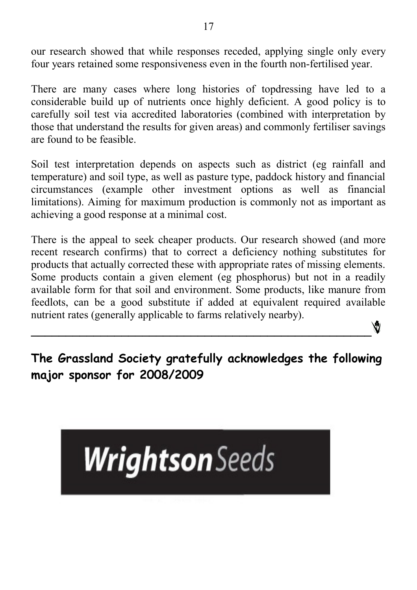our research showed that while responses receded, applying single only every four years retained some responsiveness even in the fourth non-fertilised year.

There are many cases where long histories of topdressing have led to a considerable build up of nutrients once highly deficient. A good policy is to carefully soil test via accredited laboratories (combined with interpretation by those that understand the results for given areas) and commonly fertiliser savings are found to be feasible.

Soil test interpretation depends on aspects such as district (eg rainfall and temperature) and soil type, as well as pasture type, paddock history and financial circumstances (example other investment options as well as financial limitations). Aiming for maximum production is commonly not as important as achieving a good response at a minimal cost.

There is the appeal to seek cheaper products. Our research showed (and more recent research confirms) that to correct a deficiency nothing substitutes for products that actually corrected these with appropriate rates of missing elements. Some products contain a given element (eg phosphorus) but not in a readily available form for that soil and environment. Some products, like manure from feedlots, can be a good substitute if added at equivalent required available nutrient rates (generally applicable to farms relatively nearby).

**The Grassland Society gratefully acknowledges the following major sponsor for 2008/2009**

**\_\_\_\_\_\_\_\_\_\_\_\_\_\_\_\_\_\_\_\_\_\_\_\_\_\_\_\_\_\_\_\_\_\_\_\_\_\_\_\_\_\_\_\_\_\_\_\_\_**

Ŵ

# **Wrightson** Seeds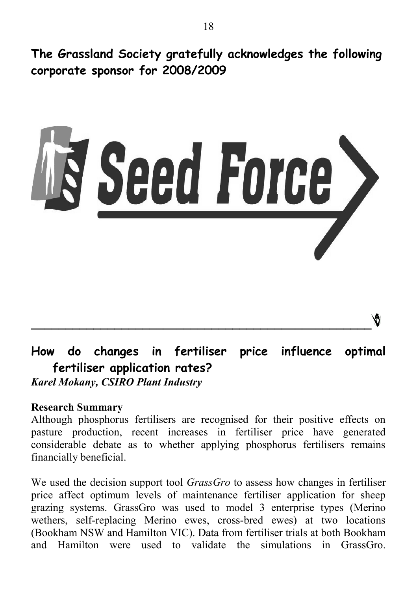**The Grassland Society gratefully acknowledges the following corporate sponsor for 2008/2009**



# **How do changes in fertiliser price influence optimal fertiliser application rates?** *Karel Mokany, CSIRO Plant Industry*

#### **Research Summary**

Although phosphorus fertilisers are recognised for their positive effects on pasture production, recent increases in fertiliser price have generated considerable debate as to whether applying phosphorus fertilisers remains financially beneficial.

We used the decision support tool *GrassGro* to assess how changes in fertiliser price affect optimum levels of maintenance fertiliser application for sheep grazing systems. GrassGro was used to model 3 enterprise types (Merino wethers, self-replacing Merino ewes, cross-bred ewes) at two locations (Bookham NSW and Hamilton VIC). Data from fertiliser trials at both Bookham and Hamilton were used to validate the simulations in GrassGro.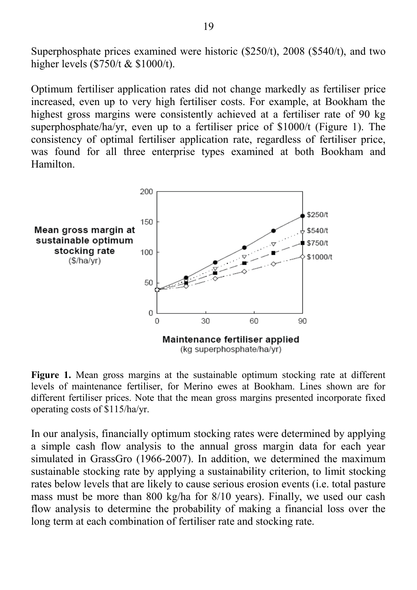Superphosphate prices examined were historic (\$250/t), 2008 (\$540/t), and two higher levels (\$750/t & \$1000/t).

Optimum fertiliser application rates did not change markedly as fertiliser price increased, even up to very high fertiliser costs. For example, at Bookham the highest gross margins were consistently achieved at a fertiliser rate of 90 kg superphosphate/ha/yr, even up to a fertiliser price of \$1000/t (Figure 1). The consistency of optimal fertiliser application rate, regardless of fertiliser price, was found for all three enterprise types examined at both Bookham and Hamilton.



**Figure 1.** Mean gross margins at the sustainable optimum stocking rate at different levels of maintenance fertiliser, for Merino ewes at Bookham. Lines shown are for different fertiliser prices. Note that the mean gross margins presented incorporate fixed operating costs of \$115/ha/yr.

In our analysis, financially optimum stocking rates were determined by applying a simple cash flow analysis to the annual gross margin data for each year simulated in GrassGro (1966-2007). In addition, we determined the maximum sustainable stocking rate by applying a sustainability criterion, to limit stocking rates below levels that are likely to cause serious erosion events (i.e. total pasture mass must be more than 800 kg/ha for 8/10 years). Finally, we used our cash flow analysis to determine the probability of making a financial loss over the long term at each combination of fertiliser rate and stocking rate.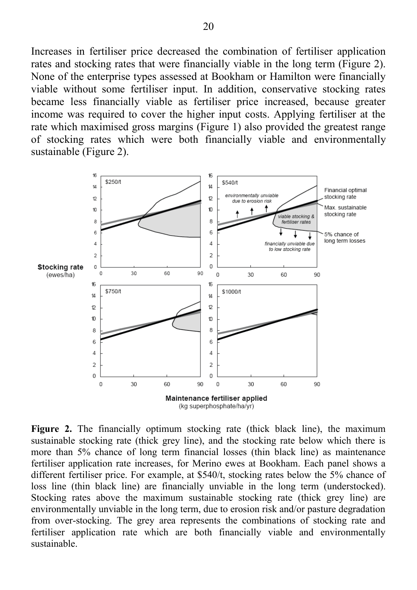Increases in fertiliser price decreased the combination of fertiliser application rates and stocking rates that were financially viable in the long term (Figure 2). None of the enterprise types assessed at Bookham or Hamilton were financially viable without some fertiliser input. In addition, conservative stocking rates became less financially viable as fertiliser price increased, because greater income was required to cover the higher input costs. Applying fertiliser at the rate which maximised gross margins (Figure 1) also provided the greatest range of stocking rates which were both financially viable and environmentally sustainable (Figure 2).



**Figure 2.** The financially optimum stocking rate (thick black line), the maximum sustainable stocking rate (thick grey line), and the stocking rate below which there is more than 5% chance of long term financial losses (thin black line) as maintenance fertiliser application rate increases, for Merino ewes at Bookham. Each panel shows a different fertiliser price. For example, at \$540/t, stocking rates below the 5% chance of loss line (thin black line) are financially unviable in the long term (understocked). Stocking rates above the maximum sustainable stocking rate (thick grey line) are environmentally unviable in the long term, due to erosion risk and/or pasture degradation from over-stocking. The grey area represents the combinations of stocking rate and fertiliser application rate which are both financially viable and environmentally sustainable.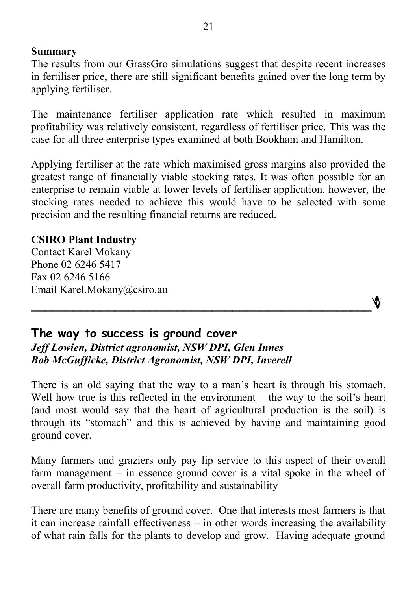#### **Summary**

The results from our GrassGro simulations suggest that despite recent increases in fertiliser price, there are still significant benefits gained over the long term by applying fertiliser.

The maintenance fertiliser application rate which resulted in maximum profitability was relatively consistent, regardless of fertiliser price. This was the case for all three enterprise types examined at both Bookham and Hamilton.

Applying fertiliser at the rate which maximised gross margins also provided the greatest range of financially viable stocking rates. It was often possible for an enterprise to remain viable at lower levels of fertiliser application, however, the stocking rates needed to achieve this would have to be selected with some precision and the resulting financial returns are reduced.

#### **CSIRO Plant Industry**

Contact Karel Mokany Phone 02 6246 5417 Fax 02 6246 5166 Email Karel.Mokany@csiro.au



#### **The way to success is ground cover** *Jeff Lowien, District agronomist, NSW DPI, Glen Innes Bob McGufficke, District Agronomist, NSW DPI, Inverell*

There is an old saying that the way to a man's heart is through his stomach. Well how true is this reflected in the environment – the way to the soil's heart (and most would say that the heart of agricultural production is the soil) is through its "stomach" and this is achieved by having and maintaining good ground cover.

Many farmers and graziers only pay lip service to this aspect of their overall farm management – in essence ground cover is a vital spoke in the wheel of overall farm productivity, profitability and sustainability

There are many benefits of ground cover. One that interests most farmers is that it can increase rainfall effectiveness – in other words increasing the availability of what rain falls for the plants to develop and grow. Having adequate ground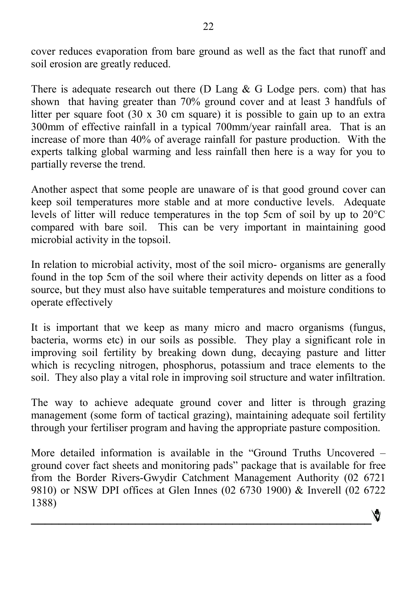cover reduces evaporation from bare ground as well as the fact that runoff and soil erosion are greatly reduced.

There is adequate research out there (D Lang  $& G$  Lodge pers. com) that has shown that having greater than 70% ground cover and at least 3 handfuls of litter per square foot (30 x 30 cm square) it is possible to gain up to an extra 300mm of effective rainfall in a typical 700mm/year rainfall area. That is an increase of more than 40% of average rainfall for pasture production. With the experts talking global warming and less rainfall then here is a way for you to partially reverse the trend.

Another aspect that some people are unaware of is that good ground cover can keep soil temperatures more stable and at more conductive levels. Adequate levels of litter will reduce temperatures in the top 5cm of soil by up to 20°C compared with bare soil. This can be very important in maintaining good microbial activity in the topsoil.

In relation to microbial activity, most of the soil micro- organisms are generally found in the top 5cm of the soil where their activity depends on litter as a food source, but they must also have suitable temperatures and moisture conditions to operate effectively

It is important that we keep as many micro and macro organisms (fungus, bacteria, worms etc) in our soils as possible. They play a significant role in improving soil fertility by breaking down dung, decaying pasture and litter which is recycling nitrogen, phosphorus, potassium and trace elements to the soil. They also play a vital role in improving soil structure and water infiltration.

The way to achieve adequate ground cover and litter is through grazing management (some form of tactical grazing), maintaining adequate soil fertility through your fertiliser program and having the appropriate pasture composition.

More detailed information is available in the "Ground Truths Uncovered – ground cover fact sheets and monitoring pads" package that is available for free from the Border Rivers-Gwydir Catchment Management Authority (02 6721 9810) or NSW DPI offices at Glen Innes (02 6730 1900) & Inverell (02 6722 1388)

**\_\_\_\_\_\_\_\_\_\_\_\_\_\_\_\_\_\_\_\_\_\_\_\_\_\_\_\_\_\_\_\_\_\_\_\_\_\_\_\_\_\_\_\_\_\_\_\_\_**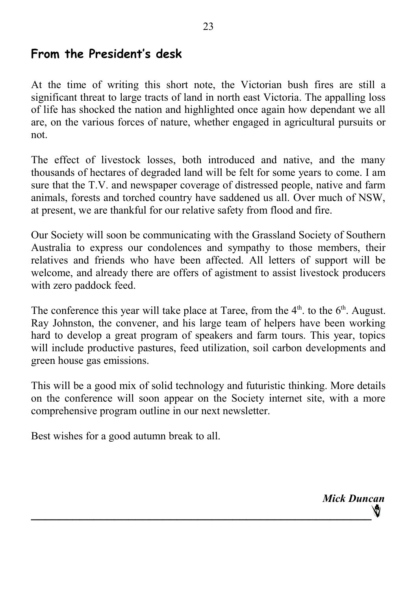# **From the President's desk**

At the time of writing this short note, the Victorian bush fires are still a significant threat to large tracts of land in north east Victoria. The appalling loss of life has shocked the nation and highlighted once again how dependant we all are, on the various forces of nature, whether engaged in agricultural pursuits or not.

 $23$ 

The effect of livestock losses, both introduced and native, and the many thousands of hectares of degraded land will be felt for some years to come. I am sure that the T.V. and newspaper coverage of distressed people, native and farm animals, forests and torched country have saddened us all. Over much of NSW, at present, we are thankful for our relative safety from flood and fire.

Our Society will soon be communicating with the Grassland Society of Southern Australia to express our condolences and sympathy to those members, their relatives and friends who have been affected. All letters of support will be welcome, and already there are offers of agistment to assist livestock producers with zero paddock feed.

The conference this year will take place at Taree, from the  $4<sup>th</sup>$ . to the  $6<sup>th</sup>$ . August. Ray Johnston, the convener, and his large team of helpers have been working hard to develop a great program of speakers and farm tours. This year, topics will include productive pastures, feed utilization, soil carbon developments and green house gas emissions.

This will be a good mix of solid technology and futuristic thinking. More details on the conference will soon appear on the Society internet site, with a more comprehensive program outline in our next newsletter.

Best wishes for a good autumn break to all.

*Mick Duncan* **\_\_\_\_\_\_\_\_\_\_\_\_\_\_\_\_\_\_\_\_\_\_\_\_\_\_\_\_\_\_\_\_\_\_\_\_\_\_\_\_\_\_\_\_\_\_\_\_\_**